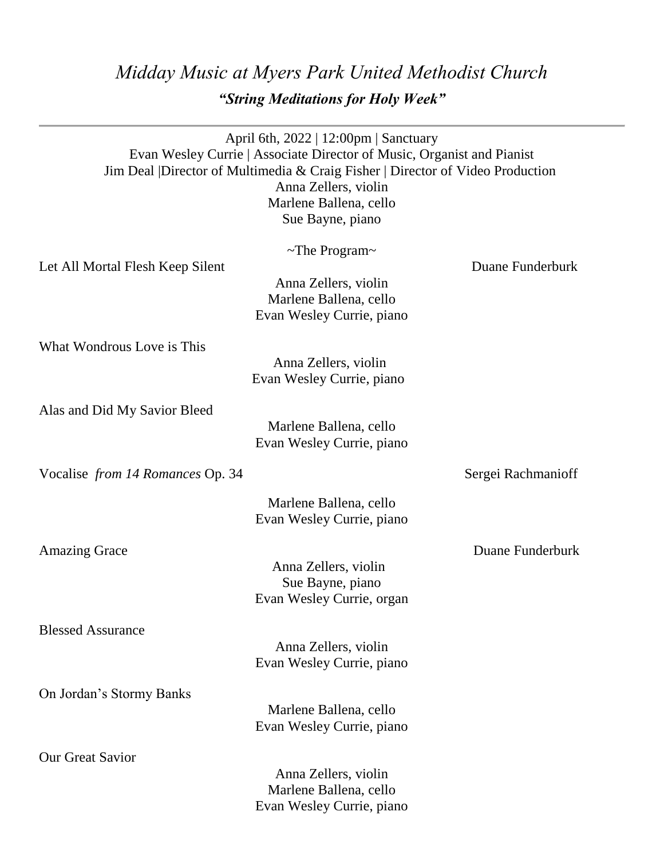## *Midday Music at Myers Park United Methodist Church "String Meditations for Holy Week"*

|                                         | April 6th, 2022   12:00pm   Sanctuary<br>Evan Wesley Currie   Associate Director of Music, Organist and Pianist<br>Jim Deal   Director of Multimedia & Craig Fisher   Director of Video Production<br>Anna Zellers, violin<br>Marlene Ballena, cello<br>Sue Bayne, piano |                    |
|-----------------------------------------|--------------------------------------------------------------------------------------------------------------------------------------------------------------------------------------------------------------------------------------------------------------------------|--------------------|
| Let All Mortal Flesh Keep Silent        | $\sim$ The Program $\sim$                                                                                                                                                                                                                                                | Duane Funderburk   |
|                                         | Anna Zellers, violin<br>Marlene Ballena, cello<br>Evan Wesley Currie, piano                                                                                                                                                                                              |                    |
| What Wondrous Love is This              |                                                                                                                                                                                                                                                                          |                    |
|                                         | Anna Zellers, violin<br>Evan Wesley Currie, piano                                                                                                                                                                                                                        |                    |
| Alas and Did My Savior Bleed            |                                                                                                                                                                                                                                                                          |                    |
|                                         | Marlene Ballena, cello<br>Evan Wesley Currie, piano                                                                                                                                                                                                                      |                    |
| Vocalise <i>from 14 Romances</i> Op. 34 |                                                                                                                                                                                                                                                                          | Sergei Rachmanioff |
|                                         | Marlene Ballena, cello<br>Evan Wesley Currie, piano                                                                                                                                                                                                                      |                    |
| <b>Amazing Grace</b>                    |                                                                                                                                                                                                                                                                          | Duane Funderburk   |
|                                         | Anna Zellers, violin                                                                                                                                                                                                                                                     |                    |
|                                         | Sue Bayne, piano<br>Evan Wesley Currie, organ                                                                                                                                                                                                                            |                    |
| <b>Blessed Assurance</b>                |                                                                                                                                                                                                                                                                          |                    |
|                                         | Anna Zellers, violin<br>Evan Wesley Currie, piano                                                                                                                                                                                                                        |                    |
| On Jordan's Stormy Banks                |                                                                                                                                                                                                                                                                          |                    |
|                                         | Marlene Ballena, cello<br>Evan Wesley Currie, piano                                                                                                                                                                                                                      |                    |
| <b>Our Great Savior</b>                 |                                                                                                                                                                                                                                                                          |                    |
|                                         | Anna Zellers, violin<br>Marlene Ballena, cello                                                                                                                                                                                                                           |                    |
|                                         | Evan Wesley Currie, piano                                                                                                                                                                                                                                                |                    |